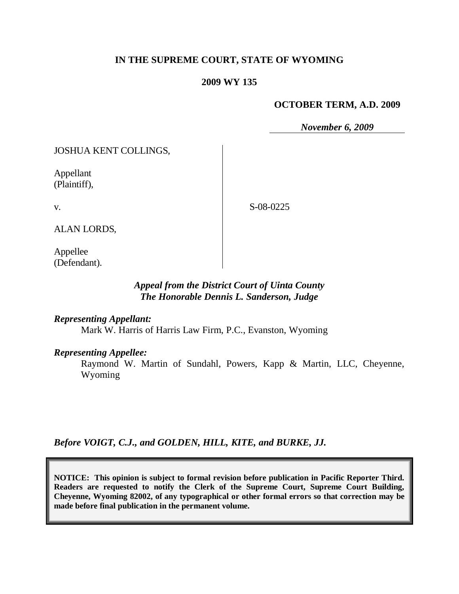## **IN THE SUPREME COURT, STATE OF WYOMING**

### **2009 WY 135**

#### **OCTOBER TERM, A.D. 2009**

*November 6, 2009*

JOSHUA KENT COLLINGS,

Appellant (Plaintiff),

v.

S-08-0225

ALAN LORDS,

Appellee (Defendant).

# *Appeal from the District Court of Uinta County The Honorable Dennis L. Sanderson, Judge*

*Representing Appellant:*

Mark W. Harris of Harris Law Firm, P.C., Evanston, Wyoming

*Representing Appellee:*

Raymond W. Martin of Sundahl, Powers, Kapp & Martin, LLC, Cheyenne, Wyoming

*Before VOIGT, C.J., and GOLDEN, HILL, KITE, and BURKE, JJ.*

**NOTICE: This opinion is subject to formal revision before publication in Pacific Reporter Third. Readers are requested to notify the Clerk of the Supreme Court, Supreme Court Building, Cheyenne, Wyoming 82002, of any typographical or other formal errors so that correction may be made before final publication in the permanent volume.**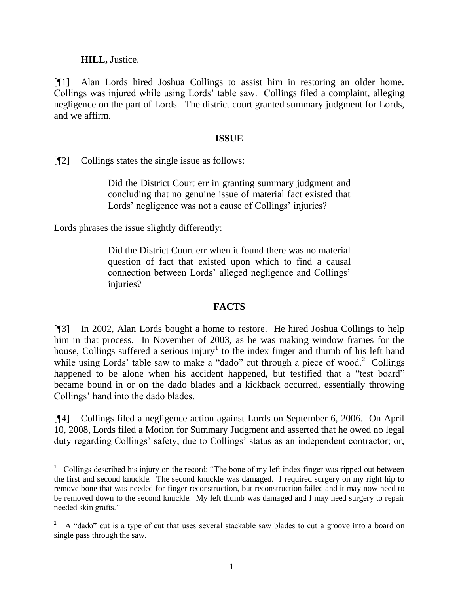**HILL,** Justice.

[¶1] Alan Lords hired Joshua Collings to assist him in restoring an older home. Collings was injured while using Lords' table saw. Collings filed a complaint, alleging negligence on the part of Lords. The district court granted summary judgment for Lords, and we affirm.

# **ISSUE**

[¶2] Collings states the single issue as follows:

Did the District Court err in granting summary judgment and concluding that no genuine issue of material fact existed that Lords' negligence was not a cause of Collings' injuries?

Lords phrases the issue slightly differently:

 $\overline{a}$ 

Did the District Court err when it found there was no material question of fact that existed upon which to find a causal connection between Lords' alleged negligence and Collings' injuries?

## **FACTS**

[¶3] In 2002, Alan Lords bought a home to restore. He hired Joshua Collings to help him in that process. In November of 2003, as he was making window frames for the house, Collings suffered a serious injury<sup>1</sup> to the index finger and thumb of his left hand while using Lords' table saw to make a "dado" cut through a piece of wood.<sup>2</sup> Collings happened to be alone when his accident happened, but testified that a "test board" became bound in or on the dado blades and a kickback occurred, essentially throwing Collings' hand into the dado blades.

[¶4] Collings filed a negligence action against Lords on September 6, 2006. On April 10, 2008, Lords filed a Motion for Summary Judgment and asserted that he owed no legal duty regarding Collings' safety, due to Collings' status as an independent contractor; or,

<sup>&</sup>lt;sup>1</sup> Collings described his injury on the record: "The bone of my left index finger was ripped out between the first and second knuckle. The second knuckle was damaged. I required surgery on my right hip to remove bone that was needed for finger reconstruction, but reconstruction failed and it may now need to be removed down to the second knuckle. My left thumb was damaged and I may need surgery to repair needed skin grafts."

<sup>2</sup> A "dado" cut is a type of cut that uses several stackable saw blades to cut a groove into a board on single pass through the saw.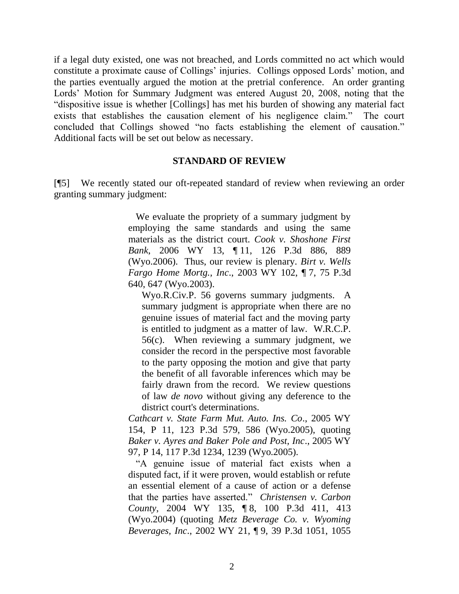if a legal duty existed, one was not breached, and Lords committed no act which would constitute a proximate cause of Collings' injuries. Collings opposed Lords' motion, and the parties eventually argued the motion at the pretrial conference. An order granting Lords' Motion for Summary Judgment was entered August 20, 2008, noting that the "dispositive issue is whether [Collings] has met his burden of showing any material fact exists that establishes the causation element of his negligence claim." The court concluded that Collings showed "no facts establishing the element of causation." Additional facts will be set out below as necessary.

#### **STANDARD OF REVIEW**

[¶5] We recently stated our oft-repeated standard of review when reviewing an order granting summary judgment:

> We evaluate the propriety of a summary judgment by employing the same standards and using the same materials as the district court. *Cook v. Shoshone First Bank*, 2006 WY 13, ¶ 11, 126 P.3d 886, 889 (Wyo.2006). Thus, our review is plenary. *Birt v. Wells Fargo Home Mortg., Inc*., 2003 WY 102, ¶ 7, 75 P.3d 640, 647 (Wyo.2003).

Wyo.R.Civ.P. 56 governs summary judgments. A summary judgment is appropriate when there are no genuine issues of material fact and the moving party is entitled to judgment as a matter of law. W.R.C.P. 56(c). When reviewing a summary judgment, we consider the record in the perspective most favorable to the party opposing the motion and give that party the benefit of all favorable inferences which may be fairly drawn from the record. We review questions of law *de novo* without giving any deference to the district court's determinations.

*Cathcart v. State Farm Mut. Auto. Ins. Co*., 2005 WY 154, P 11, 123 P.3d 579, 586 (Wyo.2005), quoting *Baker v. Ayres and Baker Pole and Post, Inc*., 2005 WY 97, P 14, 117 P.3d 1234, 1239 (Wyo.2005).

 "A genuine issue of material fact exists when a disputed fact, if it were proven, would establish or refute an essential element of a cause of action or a defense that the parties have asserted." *Christensen v. Carbon County*, 2004 WY 135, ¶ 8, 100 P.3d 411, 413 (Wyo.2004) (quoting *Metz Beverage Co. v. Wyoming Beverages, Inc*., 2002 WY 21, ¶ 9, 39 P.3d 1051, 1055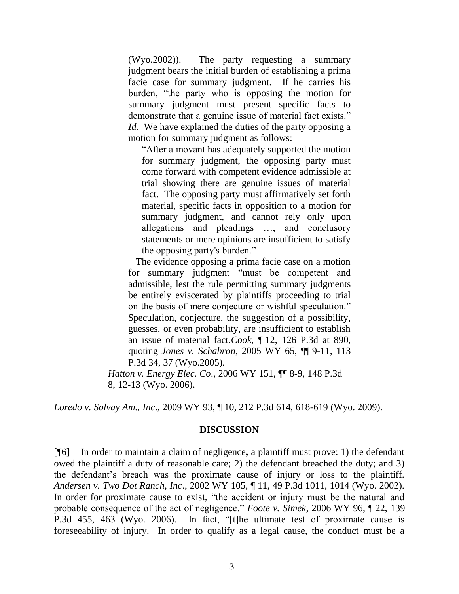(Wyo.2002)). The party requesting a summary judgment bears the initial burden of establishing a prima facie case for summary judgment. If he carries his burden, "the party who is opposing the motion for summary judgment must present specific facts to demonstrate that a genuine issue of material fact exists." *Id*. We have explained the duties of the party opposing a motion for summary judgment as follows:

"After a movant has adequately supported the motion for summary judgment, the opposing party must come forward with competent evidence admissible at trial showing there are genuine issues of material fact. The opposing party must affirmatively set forth material, specific facts in opposition to a motion for summary judgment, and cannot rely only upon allegations and pleadings …, and conclusory statements or mere opinions are insufficient to satisfy the opposing party's burden."

 The evidence opposing a prima facie case on a motion for summary judgment "must be competent and admissible, lest the rule permitting summary judgments be entirely eviscerated by plaintiffs proceeding to trial on the basis of mere conjecture or wishful speculation." Speculation, conjecture, the suggestion of a possibility, guesses, or even probability, are insufficient to establish an issue of material fact.*Cook*, ¶ 12, 126 P.3d at 890, quoting *Jones v. Schabron*, 2005 WY 65, ¶¶ 9-11, 113 P.3d 34, 37 (Wyo.2005).

*Hatton v. Energy Elec. Co*., 2006 WY 151, ¶¶ 8-9, 148 P.3d 8, 12-13 (Wyo. 2006).

*Loredo v. Solvay Am., Inc*., 2009 WY 93, ¶ 10, 212 P.3d 614, 618-619 (Wyo. 2009).

## **DISCUSSION**

[¶6] In order to maintain a claim of negligence**,** a plaintiff must prove: 1) the defendant owed the plaintiff a duty of reasonable care; 2) the defendant breached the duty; and 3) the defendant's breach was the proximate cause of injury or loss to the plaintiff. *Andersen v. Two Dot Ranch, Inc*., 2002 WY 105, ¶ 11, 49 P.3d 1011, 1014 (Wyo. 2002). In order for proximate cause to exist, "the accident or injury must be the natural and probable consequence of the act of negligence." *Foote v. Simek*, 2006 WY 96, ¶ 22, 139 P.3d 455, 463 (Wyo. 2006)*.* In fact, "[t]he ultimate test of proximate cause is foreseeability of injury. In order to qualify as a legal cause, the conduct must be a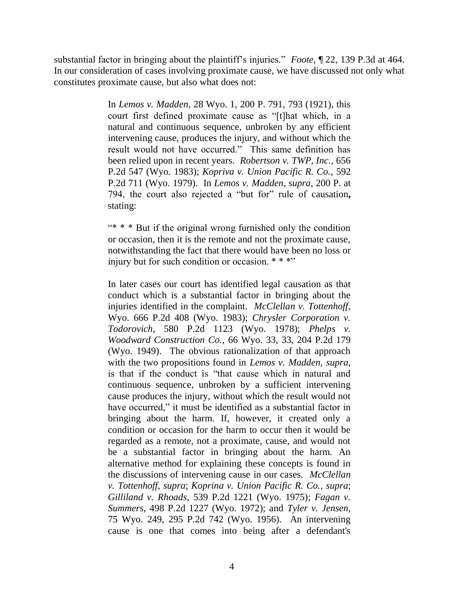substantial factor in bringing about the plaintiff's injuries." *Foote*, ¶ 22, 139 P.3d at 464. In our consideration of cases involving proximate cause, we have discussed not only what constitutes proximate cause, but also what does not:

> In *Lemos v. Madden*, 28 Wyo. 1, 200 P. 791, 793 (1921), this court first defined proximate cause as "[t]hat which, in a natural and continuous sequence, unbroken by any efficient intervening cause, produces the injury, and without which the result would not have occurred." This same definition has been relied upon in recent years. *Robertson v. TWP, Inc.*, 656 P.2d 547 (Wyo. 1983); *Kopriva v. Union Pacific R. Co.*, 592 P.2d 711 (Wyo. 1979). In *Lemos v. Madden*, *supra*, 200 P. at 794, the court also rejected a "but for" rule of causation**,** stating:

> "\* \* \* But if the original wrong furnished only the condition or occasion, then it is the remote and not the proximate cause, notwithstanding the fact that there would have been no loss or injury but for such condition or occasion.  $***$

> In later cases our court has identified legal causation as that conduct which is a substantial factor in bringing about the injuries identified in the complaint. *McClellan v. Tottenhoff*, Wyo. 666 P.2d 408 (Wyo. 1983); *Chrysler Corporation v. Todorovich*, 580 P.2d 1123 (Wyo. 1978); *Phelps v. Woodward Construction Co.*, 66 Wyo. 33, 33, 204 P.2d 179 (Wyo. 1949). The obvious rationalization of that approach with the two propositions found in *Lemos v. Madden, supra*, is that if the conduct is "that cause which in natural and continuous sequence, unbroken by a sufficient intervening cause produces the injury, without which the result would not have occurred," it must be identified as a substantial factor in bringing about the harm. If, however, it created only a condition or occasion for the harm to occur then it would be regarded as a remote, not a proximate, cause, and would not be a substantial factor in bringing about the harm. An alternative method for explaining these concepts is found in the discussions of intervening cause in our cases. *McClellan v. Tottenhoff*, *supra*; *Koprina v. Union Pacific R. Co.*, *supra*; *Gilliland v. Rhoads*, 539 P.2d 1221 (Wyo. 1975); *Fagan v. Summers*, 498 P.2d 1227 (Wyo. 1972); and *Tyler v. Jensen*, 75 Wyo. 249, 295 P.2d 742 (Wyo. 1956). An intervening cause is one that comes into being after a defendant's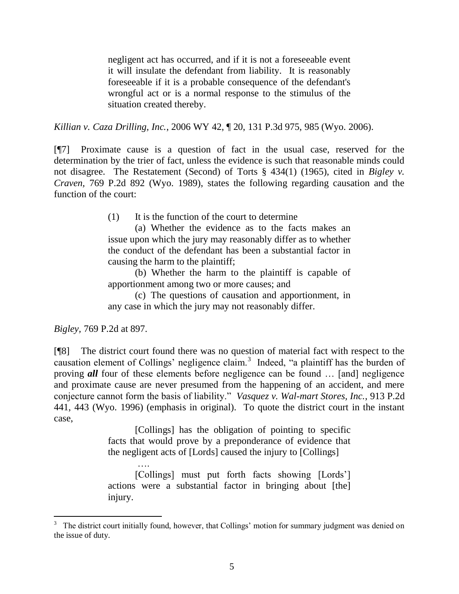negligent act has occurred, and if it is not a foreseeable event it will insulate the defendant from liability. It is reasonably foreseeable if it is a probable consequence of the defendant's wrongful act or is a normal response to the stimulus of the situation created thereby.

*Killian v. Caza Drilling, Inc.*, 2006 WY 42, ¶ 20, 131 P.3d 975, 985 (Wyo. 2006).

[¶7] Proximate cause is a question of fact in the usual case, reserved for the determination by the trier of fact, unless the evidence is such that reasonable minds could not disagree. The Restatement (Second) of Torts § 434(1) (1965), cited in *Bigley v. Craven,* 769 P.2d 892 (Wyo. 1989), states the following regarding causation and the function of the court:

(1) It is the function of the court to determine

(a) Whether the evidence as to the facts makes an issue upon which the jury may reasonably differ as to whether the conduct of the defendant has been a substantial factor in causing the harm to the plaintiff;

(b) Whether the harm to the plaintiff is capable of apportionment among two or more causes; and

(c) The questions of causation and apportionment, in any case in which the jury may not reasonably differ.

*Bigley,* 769 P.2d at 897.

 $\overline{a}$ 

[¶8] The district court found there was no question of material fact with respect to the causation element of Collings' negligence claim.<sup>3</sup> Indeed, "a plaintiff has the burden of proving *all* four of these elements before negligence can be found … [and] negligence and proximate cause are never presumed from the happening of an accident, and mere conjecture cannot form the basis of liability." *Vasquez v. Wal-mart Stores, Inc.*, 913 P.2d 441, 443 (Wyo. 1996) (emphasis in original). To quote the district court in the instant case,

> [Collings] has the obligation of pointing to specific facts that would prove by a preponderance of evidence that the negligent acts of [Lords] caused the injury to [Collings]

> …. [Collings] must put forth facts showing [Lords'] actions were a substantial factor in bringing about [the] injury.

<sup>&</sup>lt;sup>3</sup> The district court initially found, however, that Collings' motion for summary judgment was denied on the issue of duty.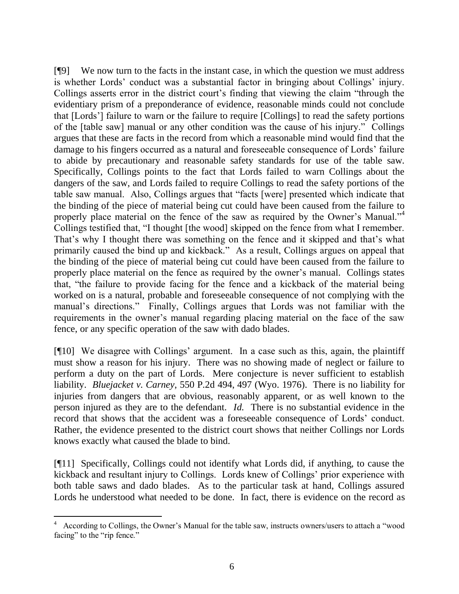[¶9] We now turn to the facts in the instant case, in which the question we must address is whether Lords' conduct was a substantial factor in bringing about Collings' injury. Collings asserts error in the district court's finding that viewing the claim "through the evidentiary prism of a preponderance of evidence, reasonable minds could not conclude that [Lords'] failure to warn or the failure to require [Collings] to read the safety portions of the [table saw] manual or any other condition was the cause of his injury." Collings argues that these are facts in the record from which a reasonable mind would find that the damage to his fingers occurred as a natural and foreseeable consequence of Lords' failure to abide by precautionary and reasonable safety standards for use of the table saw. Specifically, Collings points to the fact that Lords failed to warn Collings about the dangers of the saw, and Lords failed to require Collings to read the safety portions of the table saw manual. Also, Collings argues that "facts [were] presented which indicate that the binding of the piece of material being cut could have been caused from the failure to properly place material on the fence of the saw as required by the Owner's Manual."<sup>4</sup> Collings testified that, "I thought [the wood] skipped on the fence from what I remember. That's why I thought there was something on the fence and it skipped and that's what primarily caused the bind up and kickback." As a result, Collings argues on appeal that the binding of the piece of material being cut could have been caused from the failure to properly place material on the fence as required by the owner's manual. Collings states that, "the failure to provide facing for the fence and a kickback of the material being worked on is a natural, probable and foreseeable consequence of not complying with the manual's directions." Finally, Collings argues that Lords was not familiar with the requirements in the owner's manual regarding placing material on the face of the saw fence, or any specific operation of the saw with dado blades.

[¶10] We disagree with Collings' argument. In a case such as this, again, the plaintiff must show a reason for his injury. There was no showing made of neglect or failure to perform a duty on the part of Lords. Mere conjecture is never sufficient to establish liability. *Bluejacket v. Carney*, 550 P.2d 494, 497 (Wyo. 1976). There is no liability for injuries from dangers that are obvious, reasonably apparent, or as well known to the person injured as they are to the defendant. *Id.* There is no substantial evidence in the record that shows that the accident was a foreseeable consequence of Lords' conduct. Rather, the evidence presented to the district court shows that neither Collings nor Lords knows exactly what caused the blade to bind.

[¶11] Specifically, Collings could not identify what Lords did, if anything, to cause the kickback and resultant injury to Collings. Lords knew of Collings' prior experience with both table saws and dado blades. As to the particular task at hand, Collings assured Lords he understood what needed to be done. In fact, there is evidence on the record as

 $\overline{a}$ 

<sup>4</sup> According to Collings, the Owner's Manual for the table saw, instructs owners/users to attach a "wood facing" to the "rip fence."